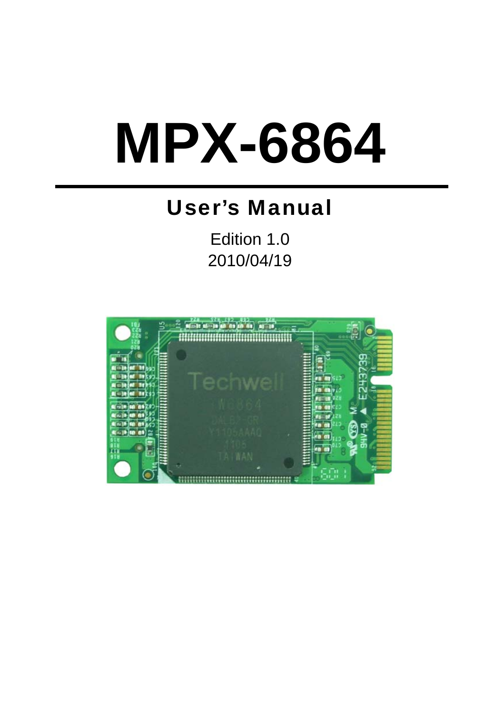# **MPX-6864**

## User's Manual

Edition 1.0 2010/04/19

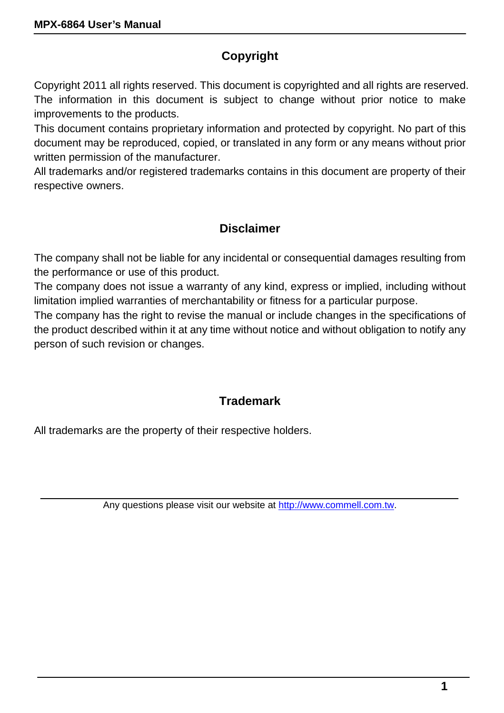#### **Copyright**

Copyright 2011 all rights reserved. This document is copyrighted and all rights are reserved. The information in this document is subject to change without prior notice to make improvements to the products.

This document contains proprietary information and protected by copyright. No part of this document may be reproduced, copied, or translated in any form or any means without prior written permission of the manufacturer.

All trademarks and/or registered trademarks contains in this document are property of their respective owners.

#### **Disclaimer**

The company shall not be liable for any incidental or consequential damages resulting from the performance or use of this product.

The company does not issue a warranty of any kind, express or implied, including without limitation implied warranties of merchantability or fitness for a particular purpose.

The company has the right to revise the manual or include changes in the specifications of the product described within it at any time without notice and without obligation to notify any person of such revision or changes.

#### **Trademark**

All trademarks are the property of their respective holders.

Any questions please visit our website at http://www.commell.com.tw.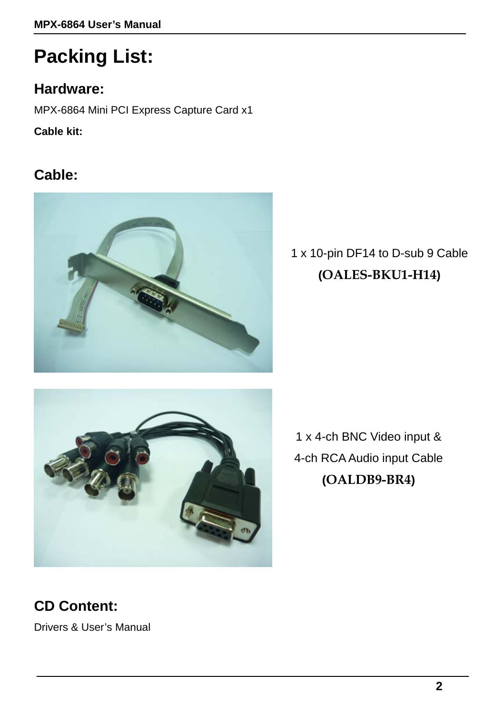# **Packing List:**

#### **Hardware:**

MPX-6864 Mini PCI Express Capture Card x1

**Cable kit:** 

### **Cable:**



1 x 10-pin DF14 to D-sub 9 Cable **(OALES-BKU1-H14)** 



1 x 4-ch BNC Video input & 4-ch RCA Audio input Cable **(OALDB9-BR4)** 

## **CD Content:**

Drivers & User's Manual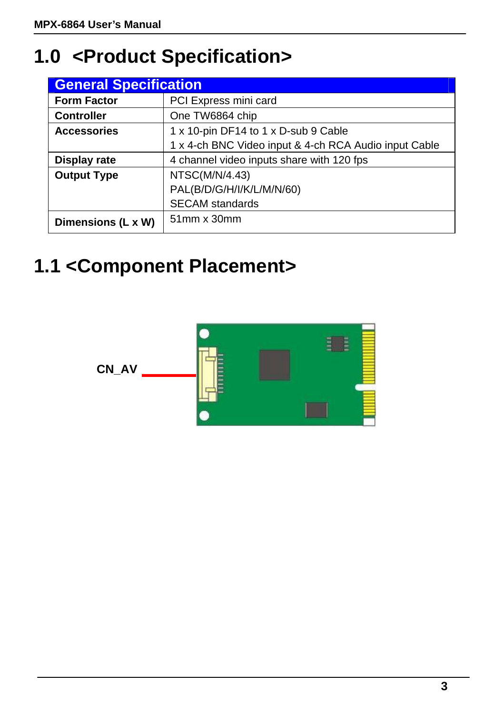# **1.0 <Product Specification>**

| <b>General Specification</b> |                                                       |  |
|------------------------------|-------------------------------------------------------|--|
| <b>Form Factor</b>           | PCI Express mini card                                 |  |
| <b>Controller</b>            | One TW6864 chip                                       |  |
| <b>Accessories</b>           | 1 x 10-pin DF14 to 1 x D-sub 9 Cable                  |  |
|                              | 1 x 4-ch BNC Video input & 4-ch RCA Audio input Cable |  |
| Display rate                 | 4 channel video inputs share with 120 fps             |  |
| <b>Output Type</b>           | NTSC(M/N/4.43)                                        |  |
|                              | PAL(B/D/G/H/I/K/L/M/N/60)                             |  |
|                              | <b>SECAM</b> standards                                |  |
| Dimensions (L x W)           | 51mm x 30mm                                           |  |

## **1.1 <Component Placement>**

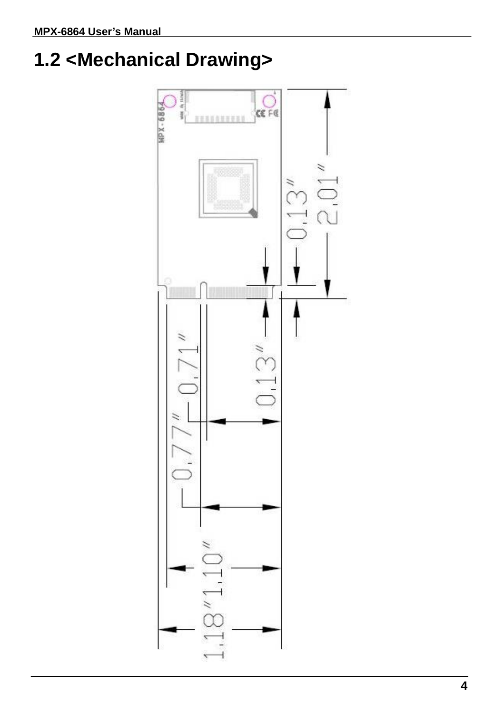# **1.2 <Mechanical Drawing>**

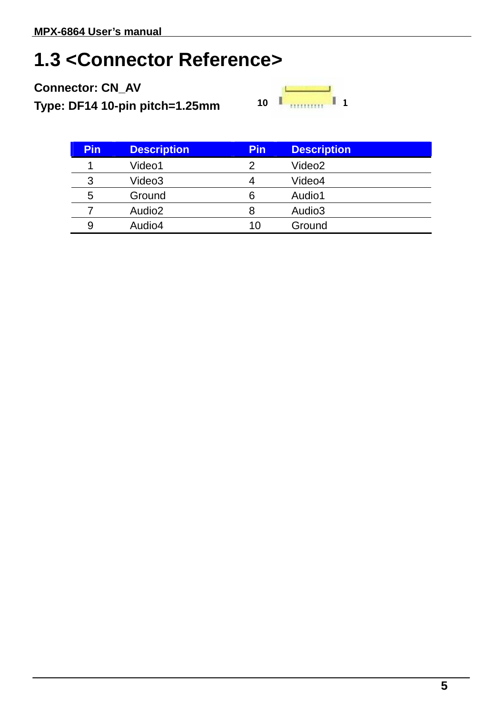## **1.3 <Connector Reference>**

**Connector: CN\_AV** 

**Type: DF14 10-pin pitch=1.25mm**

| 10 |  |  |
|----|--|--|

| <b>Pin</b> | <b>Description</b> | <b>Pin</b> | <b>Description</b> |
|------------|--------------------|------------|--------------------|
|            | Video1             |            | Video2             |
| 3          | Video3             |            | Video4             |
| 5          | Ground             |            | Audio1             |
|            | Audio <sub>2</sub> | 8          | Audio3             |
| 9          | Audio4             | 10         | Ground             |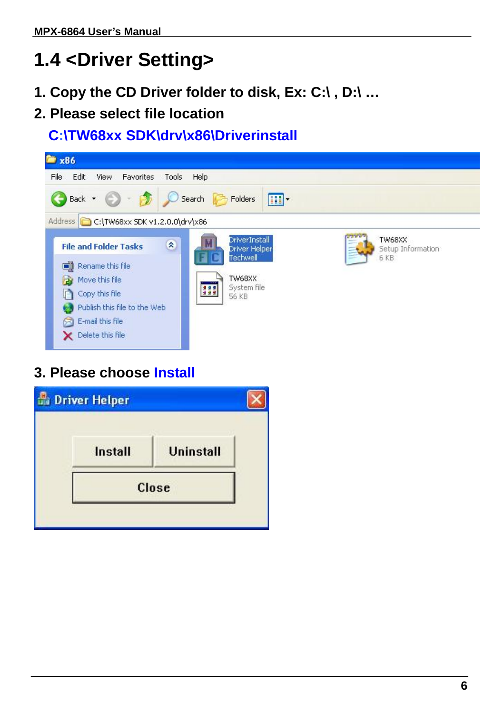# **1.4 <Driver Setting>**

- **1. Copy the CD Driver folder to disk, Ex: C:\ , D:\ …**
- **2. Please select file location**

**C:\TW68xx SDK\drv\x86\Driverinstall**



#### **3. Please choose Install**

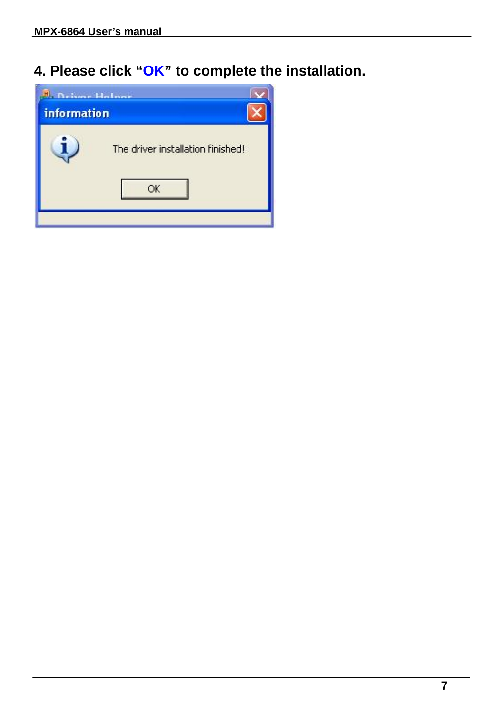**4. Please click "OK" to complete the installation.** 

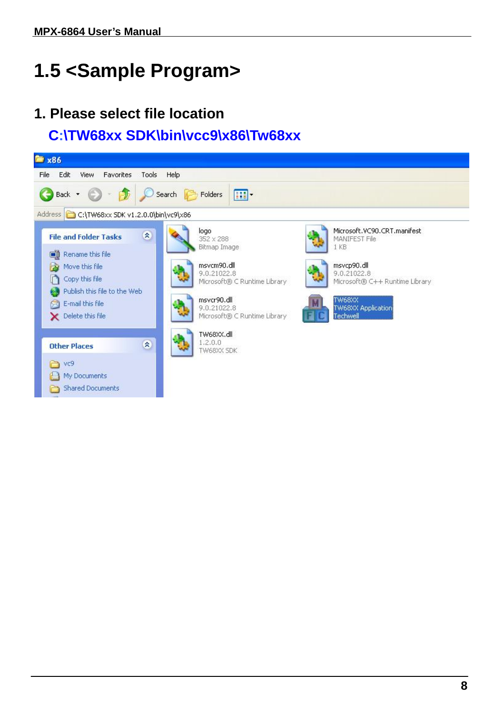# **1.5 <Sample Program>**

#### **1. Please select file location**

#### **C:\TW68xx SDK\bin\vcc9\x86\Tw68xx**

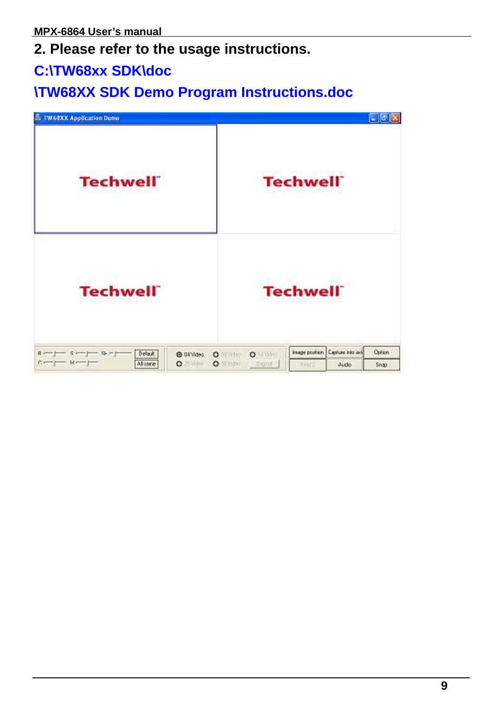#### **2. Please refer to the usage instructions.**

#### **C:\TW68xx SDK\doc**

#### **\TW68XX SDK Demo Program Instructions.doc**